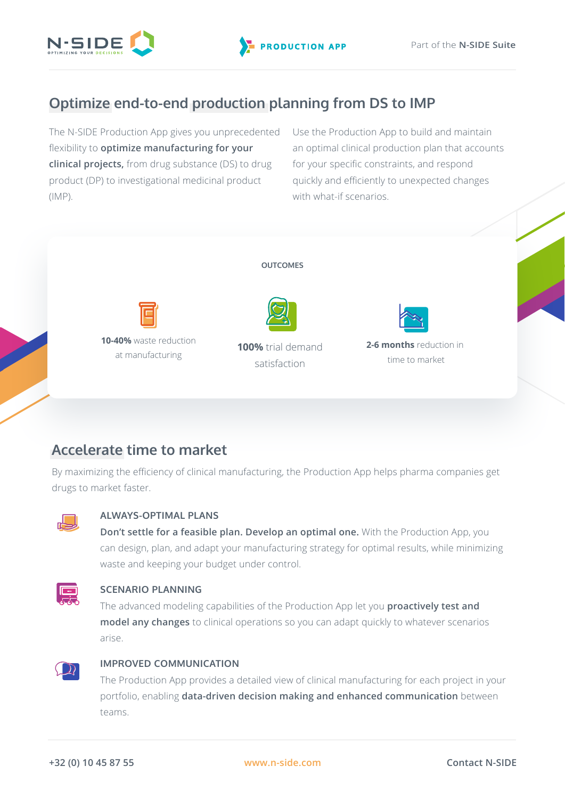



# **Optimize end-to-end production planning from DS to IMP**

The N-SIDE Production App gives you unprecedented flexibility to **optimize manufacturing for your clinical projects,** from drug substance (DS) to drug product (DP) to investigational medicinal product  $(IMP)$ .

Use the Production App to build and maintain an optimal clinical production plan that accounts for your specific constraints, and respond quickly and efficiently to unexpected changes with what-if scenarios.



# **Accelerate time to market**

By maximizing the efficiency of clinical manufacturing, the Production App helps pharma companies get drugs to market faster.



#### **ALWAYS-OPTIMAL PLANS**

**Don't settle for a feasible plan. Develop an optimal one.** With the Production App, you can design, plan, and adapt your manufacturing strategy for optimal results, while minimizing waste and keeping your budget under control.



#### **SCENARIO PLANNING**

The advanced modeling capabilities of the Production App let you **proactively test and model any changes** to clinical operations so you can adapt quickly to whatever scenarios arise.



#### **IMPROVED COMMUNICATION**

The Production App provides a detailed view of clinical manufacturing for each project in your portfolio, enabling **data-driven decision making and enhanced communication** between teams.